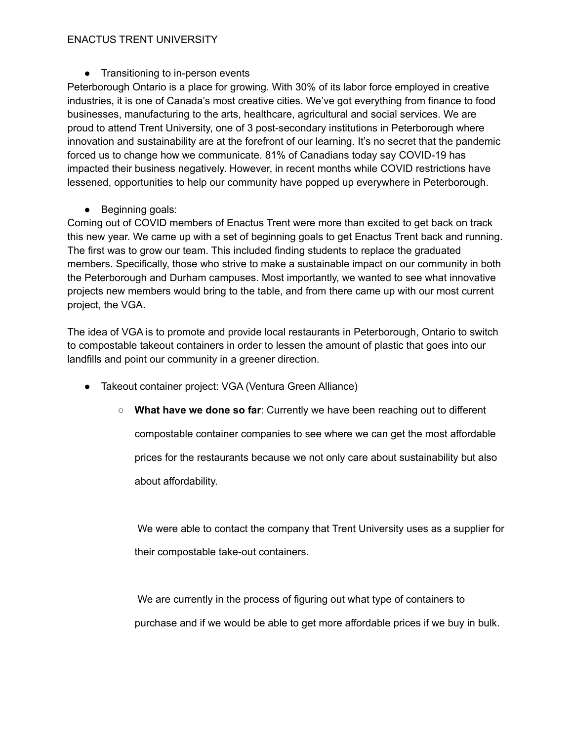## ENACTUS TRENT UNIVERSITY

● Transitioning to in-person events

Peterborough Ontario is a place for growing. With 30% of its labor force employed in creative industries, it is one of Canada's most creative cities. We've got everything from finance to food businesses, manufacturing to the arts, healthcare, agricultural and social services. We are proud to attend Trent University, one of 3 post-secondary institutions in Peterborough where innovation and sustainability are at the forefront of our learning. It's no secret that the pandemic forced us to change how we communicate. 81% of Canadians today say COVID-19 has impacted their business negatively. However, in recent months while COVID restrictions have lessened, opportunities to help our community have popped up everywhere in Peterborough.

● Beginning goals:

Coming out of COVID members of Enactus Trent were more than excited to get back on track this new year. We came up with a set of beginning goals to get Enactus Trent back and running. The first was to grow our team. This included finding students to replace the graduated members. Specifically, those who strive to make a sustainable impact on our community in both the Peterborough and Durham campuses. Most importantly, we wanted to see what innovative projects new members would bring to the table, and from there came up with our most current project, the VGA.

The idea of VGA is to promote and provide local restaurants in Peterborough, Ontario to switch to compostable takeout containers in order to lessen the amount of plastic that goes into our landfills and point our community in a greener direction.

- Takeout container project: VGA (Ventura Green Alliance)
	- **What have we done so far**: Currently we have been reaching out to different compostable container companies to see where we can get the most affordable prices for the restaurants because we not only care about sustainability but also about affordability.

We were able to contact the company that Trent University uses as a supplier for their compostable take-out containers.

We are currently in the process of figuring out what type of containers to purchase and if we would be able to get more affordable prices if we buy in bulk.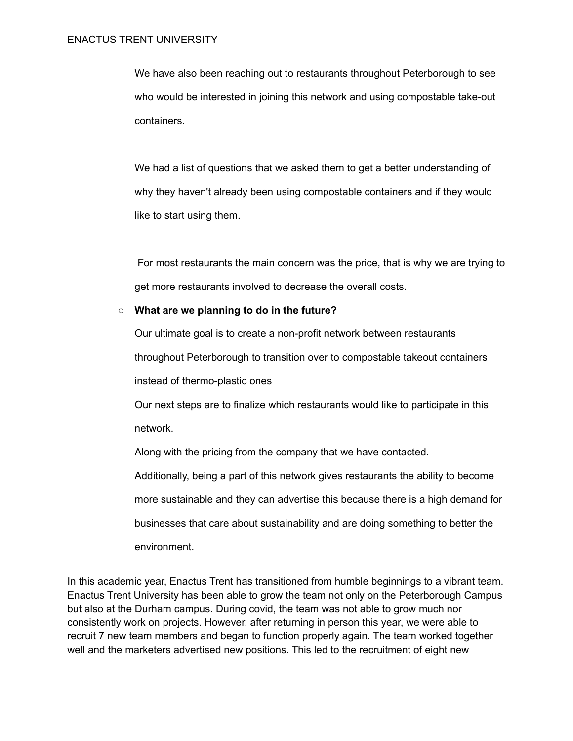## ENACTUS TRENT UNIVERSITY

We have also been reaching out to restaurants throughout Peterborough to see who would be interested in joining this network and using compostable take-out containers.

We had a list of questions that we asked them to get a better understanding of why they haven't already been using compostable containers and if they would like to start using them.

For most restaurants the main concern was the price, that is why we are trying to get more restaurants involved to decrease the overall costs.

## ○ **What are we planning to do in the future?**

Our ultimate goal is to create a non-profit network between restaurants throughout Peterborough to transition over to compostable takeout containers instead of thermo-plastic ones

Our next steps are to finalize which restaurants would like to participate in this network.

Along with the pricing from the company that we have contacted.

Additionally, being a part of this network gives restaurants the ability to become more sustainable and they can advertise this because there is a high demand for businesses that care about sustainability and are doing something to better the environment.

In this academic year, Enactus Trent has transitioned from humble beginnings to a vibrant team. Enactus Trent University has been able to grow the team not only on the Peterborough Campus but also at the Durham campus. During covid, the team was not able to grow much nor consistently work on projects. However, after returning in person this year, we were able to recruit 7 new team members and began to function properly again. The team worked together well and the marketers advertised new positions. This led to the recruitment of eight new